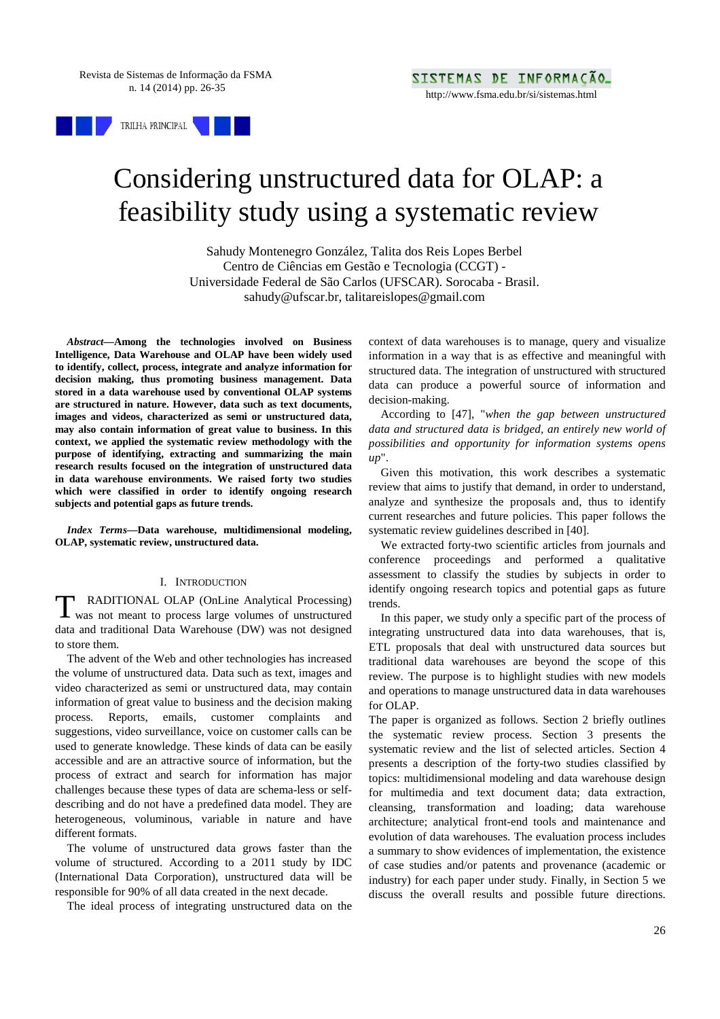

# Considering unstructured data for OLAP: a feasibility study using a systematic review

Sahudy Montenegro González, Talita dos Reis Lopes Berbel Centro de Ciências em Gestão e Tecnologia (CCGT) - Universidade Federal de São Carlos (UFSCAR). Sorocaba - Brasil. sahudy@ufscar.br, talitareislopes@gmail.com

*Abstract***—Among the technologies involved on Business Intelligence, Data Warehouse and OLAP have been widely used to identify, collect, process, integrate and analyze information for decision making, thus promoting business management. Data stored in a data warehouse used by conventional OLAP systems are structured in nature. However, data such as text documents, images and videos, characterized as semi or unstructured data, may also contain information of great value to business. In this context, we applied the systematic review methodology with the purpose of identifying, extracting and summarizing the main research results focused on the integration of unstructured data in data warehouse environments. We raised forty two studies which were classified in order to identify ongoing research subjects and potential gaps as future trends.** 

*Index Terms***—Data warehouse, multidimensional modeling, OLAP, systematic review, unstructured data.** 

# I. INTRODUCTION

RADITIONAL OLAP (OnLine Analytical Processing) T RADITIONAL OLAP (OnLine Analytical Processing)<br>was not meant to process large volumes of unstructured data and traditional Data Warehouse (DW) was not designed to store them.

The advent of the Web and other technologies has increased the volume of unstructured data. Data such as text, images and video characterized as semi or unstructured data, may contain information of great value to business and the decision making process. Reports, emails, customer complaints and suggestions, video surveillance, voice on customer calls can be used to generate knowledge. These kinds of data can be easily accessible and are an attractive source of information, but the process of extract and search for information has major challenges because these types of data are schema-less or selfdescribing and do not have a predefined data model. They are heterogeneous, voluminous, variable in nature and have different formats.

The volume of unstructured data grows faster than the volume of structured. According to a 2011 study by IDC (International Data Corporation), unstructured data will be responsible for 90% of all data created in the next decade.

The ideal process of integrating unstructured data on the

context of data warehouses is to manage, query and visualize information in a way that is as effective and meaningful with structured data. The integration of unstructured with structured data can produce a powerful source of information and decision-making.

According to [47], "*when the gap between unstructured data and structured data is bridged, an entirely new world of possibilities and opportunity for information systems opens up*".

Given this motivation, this work describes a systematic review that aims to justify that demand, in order to understand, analyze and synthesize the proposals and, thus to identify current researches and future policies. This paper follows the systematic review guidelines described in [40].

We extracted forty-two scientific articles from journals and conference proceedings and performed a qualitative assessment to classify the studies by subjects in order to identify ongoing research topics and potential gaps as future trends.

In this paper, we study only a specific part of the process of integrating unstructured data into data warehouses, that is, ETL proposals that deal with unstructured data sources but traditional data warehouses are beyond the scope of this review. The purpose is to highlight studies with new models and operations to manage unstructured data in data warehouses for OLAP.

The paper is organized as follows. Section 2 briefly outlines the systematic review process. Section 3 presents the systematic review and the list of selected articles. Section 4 presents a description of the forty-two studies classified by topics: multidimensional modeling and data warehouse design for multimedia and text document data; data extraction, cleansing, transformation and loading; data warehouse architecture; analytical front-end tools and maintenance and evolution of data warehouses. The evaluation process includes a summary to show evidences of implementation, the existence of case studies and/or patents and provenance (academic or industry) for each paper under study. Finally, in Section 5 we discuss the overall results and possible future directions.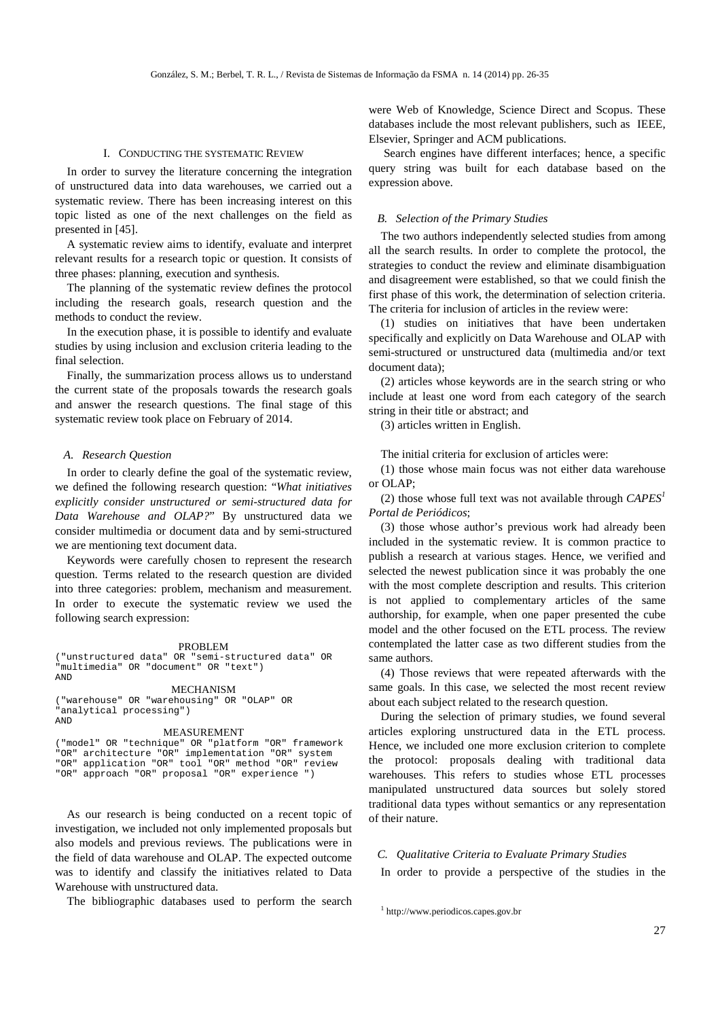### I. CONDUCTING THE SYSTEMATIC REVIEW

In order to survey the literature concerning the integration of unstructured data into data warehouses, we carried out a systematic review. There has been increasing interest on this topic listed as one of the next challenges on the field as presented in [45].

A systematic review aims to identify, evaluate and interpret relevant results for a research topic or question. It consists of three phases: planning, execution and synthesis.

The planning of the systematic review defines the protocol including the research goals, research question and the methods to conduct the review.

In the execution phase, it is possible to identify and evaluate studies by using inclusion and exclusion criteria leading to the final selection.

Finally, the summarization process allows us to understand the current state of the proposals towards the research goals and answer the research questions. The final stage of this systematic review took place on February of 2014.

# *A. Research Question*

In order to clearly define the goal of the systematic review, we defined the following research question: "*What initiatives explicitly consider unstructured or semi-structured data for Data Warehouse and OLAP?*" By unstructured data we consider multimedia or document data and by semi-structured we are mentioning text document data.

Keywords were carefully chosen to represent the research question. Terms related to the research question are divided into three categories: problem, mechanism and measurement. In order to execute the systematic review we used the following search expression:

#### PROBLEM

("unstructured data" OR "semi-structured data" OR "multimedia" OR "document" OR "text") AND

#### MECHANISM

("warehouse" OR "warehousing" OR "OLAP" OR "analytical processing") AND

#### MEASUREMENT

("model" OR "technique" OR "platform "OR" framework "OR" architecture "OR" implementation "OR" system "OR" application "OR" tool "OR" method "OR" review "OR" approach "OR" proposal "OR" experience ")

As our research is being conducted on a recent topic of investigation, we included not only implemented proposals but also models and previous reviews. The publications were in the field of data warehouse and OLAP. The expected outcome was to identify and classify the initiatives related to Data Warehouse with unstructured data.

The bibliographic databases used to perform the search

were Web of Knowledge, Science Direct and Scopus. These databases include the most relevant publishers, such as IEEE, Elsevier, Springer and ACM publications.

 Search engines have different interfaces; hence, a specific query string was built for each database based on the expression above.

# *B. Selection of the Primary Studies*

The two authors independently selected studies from among all the search results. In order to complete the protocol, the strategies to conduct the review and eliminate disambiguation and disagreement were established, so that we could finish the first phase of this work, the determination of selection criteria. The criteria for inclusion of articles in the review were:

(1) studies on initiatives that have been undertaken specifically and explicitly on Data Warehouse and OLAP with semi-structured or unstructured data (multimedia and/or text document data);

(2) articles whose keywords are in the search string or who include at least one word from each category of the search string in their title or abstract; and

(3) articles written in English.

The initial criteria for exclusion of articles were:

(1) those whose main focus was not either data warehouse or OLAP;

(2) those whose full text was not available through *CAPES<sup>1</sup> Portal de Periódicos*;

(3) those whose author's previous work had already been included in the systematic review. It is common practice to publish a research at various stages. Hence, we verified and selected the newest publication since it was probably the one with the most complete description and results. This criterion is not applied to complementary articles of the same authorship, for example, when one paper presented the cube model and the other focused on the ETL process. The review contemplated the latter case as two different studies from the same authors.

(4) Those reviews that were repeated afterwards with the same goals. In this case, we selected the most recent review about each subject related to the research question.

During the selection of primary studies, we found several articles exploring unstructured data in the ETL process. Hence, we included one more exclusion criterion to complete the protocol: proposals dealing with traditional data warehouses. This refers to studies whose ETL processes manipulated unstructured data sources but solely stored traditional data types without semantics or any representation of their nature.

## *C. Qualitative Criteria to Evaluate Primary Studies*

In order to provide a perspective of the studies in the

<sup>1</sup> http://www.periodicos.capes.gov.br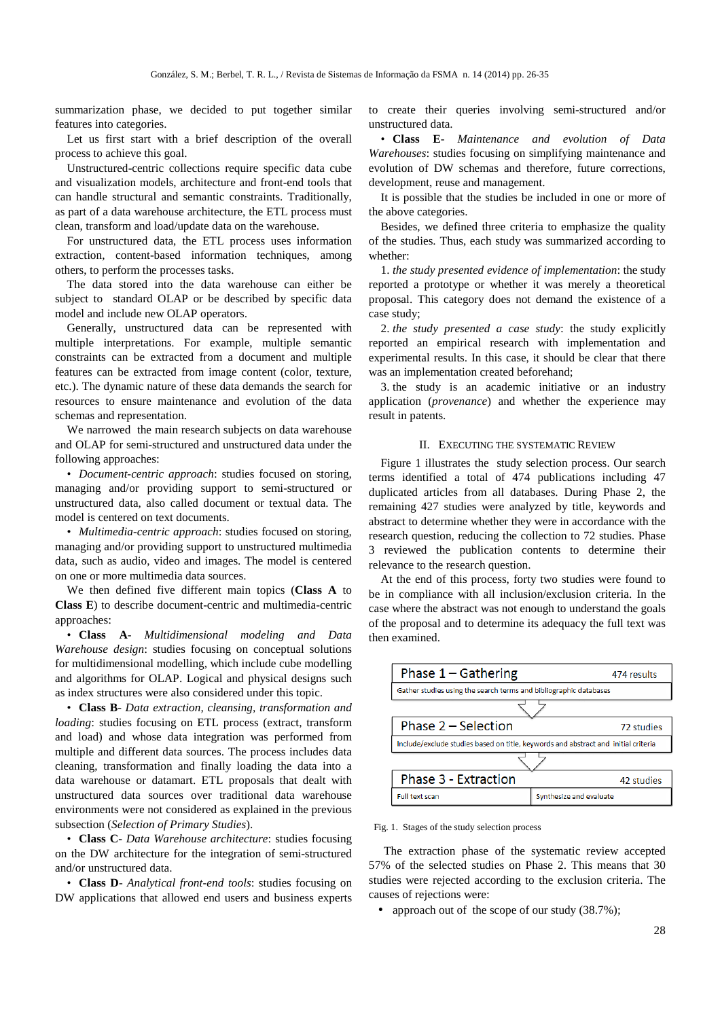summarization phase, we decided to put together similar features into categories.

Let us first start with a brief description of the overall process to achieve this goal.

Unstructured-centric collections require specific data cube and visualization models, architecture and front-end tools that can handle structural and semantic constraints. Traditionally, as part of a data warehouse architecture, the ETL process must clean, transform and load/update data on the warehouse.

For unstructured data, the ETL process uses information extraction, content-based information techniques, among others, to perform the processes tasks.

The data stored into the data warehouse can either be subject to standard OLAP or be described by specific data model and include new OLAP operators.

Generally, unstructured data can be represented with multiple interpretations. For example, multiple semantic constraints can be extracted from a document and multiple features can be extracted from image content (color, texture, etc.). The dynamic nature of these data demands the search for resources to ensure maintenance and evolution of the data schemas and representation.

We narrowed the main research subjects on data warehouse and OLAP for semi-structured and unstructured data under the following approaches:

• *Document-centric approach*: studies focused on storing, managing and/or providing support to semi-structured or unstructured data, also called document or textual data. The model is centered on text documents.

• *Multimedia-centric approach*: studies focused on storing, managing and/or providing support to unstructured multimedia data, such as audio, video and images. The model is centered on one or more multimedia data sources.

We then defined five different main topics (**Class A** to **Class E**) to describe document-centric and multimedia-centric approaches:

• **Class A**- *Multidimensional modeling and Data Warehouse design*: studies focusing on conceptual solutions for multidimensional modelling, which include cube modelling and algorithms for OLAP. Logical and physical designs such as index structures were also considered under this topic.

• **Class B**- *Data extraction, cleansing, transformation and loading*: studies focusing on ETL process (extract, transform and load) and whose data integration was performed from multiple and different data sources. The process includes data cleaning, transformation and finally loading the data into a data warehouse or datamart. ETL proposals that dealt with unstructured data sources over traditional data warehouse environments were not considered as explained in the previous subsection (*Selection of Primary Studies*).

• **Class C**- *Data Warehouse architecture*: studies focusing on the DW architecture for the integration of semi-structured and/or unstructured data.

• **Class D**- *Analytical front-end tools*: studies focusing on DW applications that allowed end users and business experts to create their queries involving semi-structured and/or unstructured data.

• **Class E**- *Maintenance and evolution of Data Warehouses*: studies focusing on simplifying maintenance and evolution of DW schemas and therefore, future corrections, development, reuse and management.

It is possible that the studies be included in one or more of the above categories.

Besides, we defined three criteria to emphasize the quality of the studies. Thus, each study was summarized according to whether:

1. *the study presented evidence of implementation*: the study reported a prototype or whether it was merely a theoretical proposal. This category does not demand the existence of a case study;

2. *the study presented a case study*: the study explicitly reported an empirical research with implementation and experimental results. In this case, it should be clear that there was an implementation created beforehand;

3. the study is an academic initiative or an industry application (*provenance*) and whether the experience may result in patents.

# II. EXECUTING THE SYSTEMATIC REVIEW

Figure 1 illustrates the study selection process. Our search terms identified a total of 474 publications including 47 duplicated articles from all databases. During Phase 2, the remaining 427 studies were analyzed by title, keywords and abstract to determine whether they were in accordance with the research question, reducing the collection to 72 studies. Phase 3 reviewed the publication contents to determine their relevance to the research question.

At the end of this process, forty two studies were found to be in compliance with all inclusion/exclusion criteria. In the case where the abstract was not enough to understand the goals of the proposal and to determine its adequacy the full text was then examined.



Fig. 1. Stages of the study selection process

 The extraction phase of the systematic review accepted 57% of the selected studies on Phase 2. This means that 30 studies were rejected according to the exclusion criteria. The causes of rejections were:

• approach out of the scope of our study (38.7%);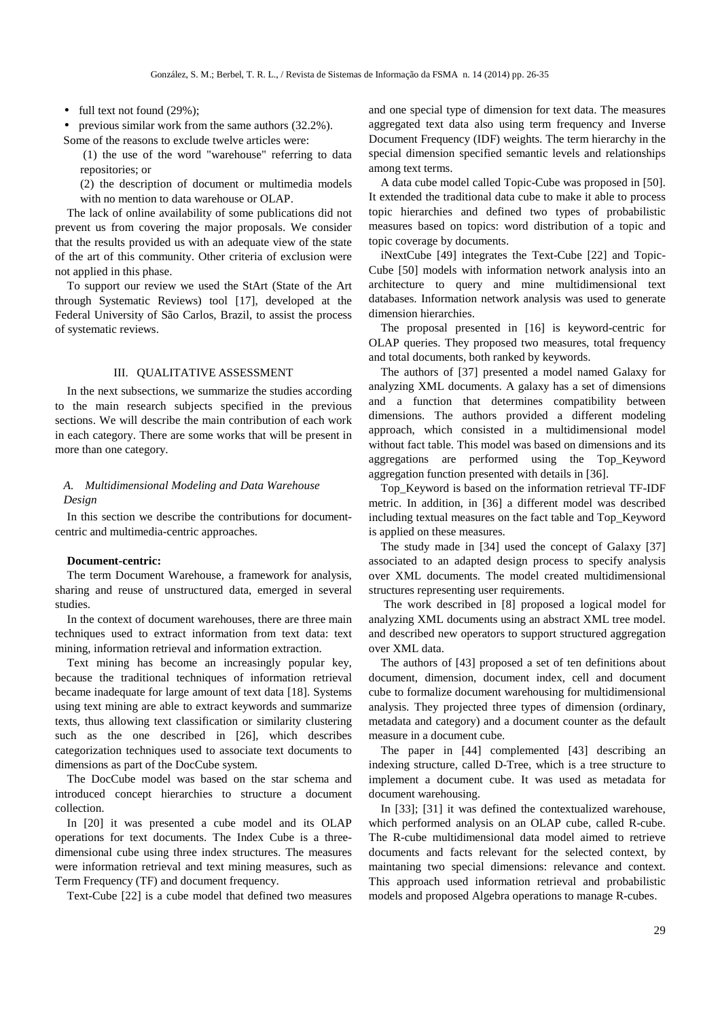• full text not found (29%);

• previous similar work from the same authors  $(32.2\%)$ . Some of the reasons to exclude twelve articles were:

 (1) the use of the word "warehouse" referring to data repositories; or

(2) the description of document or multimedia models with no mention to data warehouse or OLAP.

The lack of online availability of some publications did not prevent us from covering the major proposals. We consider that the results provided us with an adequate view of the state of the art of this community. Other criteria of exclusion were not applied in this phase.

To support our review we used the StArt (State of the Art through Systematic Reviews) tool [17], developed at the Federal University of São Carlos, Brazil, to assist the process of systematic reviews.

# III. QUALITATIVE ASSESSMENT

In the next subsections, we summarize the studies according to the main research subjects specified in the previous sections. We will describe the main contribution of each work in each category. There are some works that will be present in more than one category.

# *A. Multidimensional Modeling and Data Warehouse Design*

In this section we describe the contributions for documentcentric and multimedia-centric approaches.

# **Document-centric:**

The term Document Warehouse, a framework for analysis, sharing and reuse of unstructured data, emerged in several studies.

In the context of document warehouses, there are three main techniques used to extract information from text data: text mining, information retrieval and information extraction.

Text mining has become an increasingly popular key, because the traditional techniques of information retrieval became inadequate for large amount of text data [18]. Systems using text mining are able to extract keywords and summarize texts, thus allowing text classification or similarity clustering such as the one described in [26], which describes categorization techniques used to associate text documents to dimensions as part of the DocCube system.

The DocCube model was based on the star schema and introduced concept hierarchies to structure a document collection.

In [20] it was presented a cube model and its OLAP operations for text documents. The Index Cube is a threedimensional cube using three index structures. The measures were information retrieval and text mining measures, such as Term Frequency (TF) and document frequency.

Text-Cube [22] is a cube model that defined two measures

and one special type of dimension for text data. The measures aggregated text data also using term frequency and Inverse Document Frequency (IDF) weights. The term hierarchy in the special dimension specified semantic levels and relationships among text terms.

A data cube model called Topic-Cube was proposed in [50]. It extended the traditional data cube to make it able to process topic hierarchies and defined two types of probabilistic measures based on topics: word distribution of a topic and topic coverage by documents.

iNextCube [49] integrates the Text-Cube [22] and Topic-Cube [50] models with information network analysis into an architecture to query and mine multidimensional text databases. Information network analysis was used to generate dimension hierarchies.

The proposal presented in [16] is keyword-centric for OLAP queries. They proposed two measures, total frequency and total documents, both ranked by keywords.

The authors of [37] presented a model named Galaxy for analyzing XML documents. A galaxy has a set of dimensions and a function that determines compatibility between dimensions. The authors provided a different modeling approach, which consisted in a multidimensional model without fact table. This model was based on dimensions and its aggregations are performed using the Top\_Keyword aggregation function presented with details in [36].

Top\_Keyword is based on the information retrieval TF-IDF metric. In addition, in [36] a different model was described including textual measures on the fact table and Top\_Keyword is applied on these measures.

The study made in [34] used the concept of Galaxy [37] associated to an adapted design process to specify analysis over XML documents. The model created multidimensional structures representing user requirements.

 The work described in [8] proposed a logical model for analyzing XML documents using an abstract XML tree model. and described new operators to support structured aggregation over XML data.

The authors of [43] proposed a set of ten definitions about document, dimension, document index, cell and document cube to formalize document warehousing for multidimensional analysis. They projected three types of dimension (ordinary, metadata and category) and a document counter as the default measure in a document cube.

The paper in [44] complemented [43] describing an indexing structure, called D-Tree, which is a tree structure to implement a document cube. It was used as metadata for document warehousing.

In [33]; [31] it was defined the contextualized warehouse, which performed analysis on an OLAP cube, called R-cube. The R-cube multidimensional data model aimed to retrieve documents and facts relevant for the selected context, by maintaning two special dimensions: relevance and context. This approach used information retrieval and probabilistic models and proposed Algebra operations to manage R-cubes.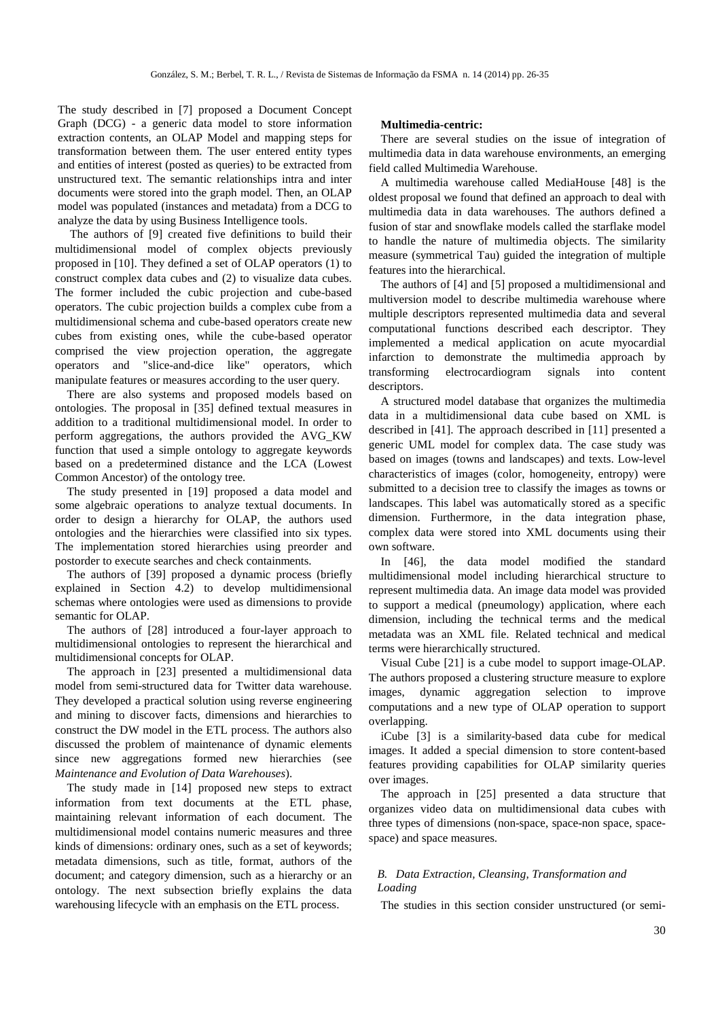The study described in [7] proposed a Document Concept Graph (DCG) - a generic data model to store information extraction contents, an OLAP Model and mapping steps for transformation between them. The user entered entity types and entities of interest (posted as queries) to be extracted from unstructured text. The semantic relationships intra and inter documents were stored into the graph model. Then, an OLAP model was populated (instances and metadata) from a DCG to analyze the data by using Business Intelligence tools.

 The authors of [9] created five definitions to build their multidimensional model of complex objects previously proposed in [10]. They defined a set of OLAP operators (1) to construct complex data cubes and (2) to visualize data cubes. The former included the cubic projection and cube-based operators. The cubic projection builds a complex cube from a multidimensional schema and cube-based operators create new cubes from existing ones, while the cube-based operator comprised the view projection operation, the aggregate operators and "slice-and-dice like" operators, which manipulate features or measures according to the user query.

There are also systems and proposed models based on ontologies. The proposal in [35] defined textual measures in addition to a traditional multidimensional model. In order to perform aggregations, the authors provided the AVG\_KW function that used a simple ontology to aggregate keywords based on a predetermined distance and the LCA (Lowest Common Ancestor) of the ontology tree.

The study presented in [19] proposed a data model and some algebraic operations to analyze textual documents. In order to design a hierarchy for OLAP, the authors used ontologies and the hierarchies were classified into six types. The implementation stored hierarchies using preorder and postorder to execute searches and check containments.

The authors of [39] proposed a dynamic process (briefly explained in Section 4.2) to develop multidimensional schemas where ontologies were used as dimensions to provide semantic for OLAP.

The authors of [28] introduced a four-layer approach to multidimensional ontologies to represent the hierarchical and multidimensional concepts for OLAP.

The approach in [23] presented a multidimensional data model from semi-structured data for Twitter data warehouse. They developed a practical solution using reverse engineering and mining to discover facts, dimensions and hierarchies to construct the DW model in the ETL process. The authors also discussed the problem of maintenance of dynamic elements since new aggregations formed new hierarchies (see *Maintenance and Evolution of Data Warehouses*).

The study made in [14] proposed new steps to extract information from text documents at the ETL phase, maintaining relevant information of each document. The multidimensional model contains numeric measures and three kinds of dimensions: ordinary ones, such as a set of keywords; metadata dimensions, such as title, format, authors of the document; and category dimension, such as a hierarchy or an ontology. The next subsection briefly explains the data warehousing lifecycle with an emphasis on the ETL process.

# **Multimedia-centric:**

There are several studies on the issue of integration of multimedia data in data warehouse environments, an emerging field called Multimedia Warehouse.

A multimedia warehouse called MediaHouse [48] is the oldest proposal we found that defined an approach to deal with multimedia data in data warehouses. The authors defined a fusion of star and snowflake models called the starflake model to handle the nature of multimedia objects. The similarity measure (symmetrical Tau) guided the integration of multiple features into the hierarchical.

The authors of [4] and [5] proposed a multidimensional and multiversion model to describe multimedia warehouse where multiple descriptors represented multimedia data and several computational functions described each descriptor. They implemented a medical application on acute myocardial infarction to demonstrate the multimedia approach by transforming electrocardiogram signals into content descriptors.

A structured model database that organizes the multimedia data in a multidimensional data cube based on XML is described in [41]. The approach described in [11] presented a generic UML model for complex data. The case study was based on images (towns and landscapes) and texts. Low-level characteristics of images (color, homogeneity, entropy) were submitted to a decision tree to classify the images as towns or landscapes. This label was automatically stored as a specific dimension. Furthermore, in the data integration phase, complex data were stored into XML documents using their own software.

In [46], the data model modified the standard multidimensional model including hierarchical structure to represent multimedia data. An image data model was provided to support a medical (pneumology) application, where each dimension, including the technical terms and the medical metadata was an XML file. Related technical and medical terms were hierarchically structured.

Visual Cube [21] is a cube model to support image-OLAP. The authors proposed a clustering structure measure to explore images, dynamic aggregation selection to improve computations and a new type of OLAP operation to support overlapping.

iCube [3] is a similarity-based data cube for medical images. It added a special dimension to store content-based features providing capabilities for OLAP similarity queries over images.

The approach in [25] presented a data structure that organizes video data on multidimensional data cubes with three types of dimensions (non-space, space-non space, spacespace) and space measures.

# *B. Data Extraction, Cleansing, Transformation and Loading*

The studies in this section consider unstructured (or semi-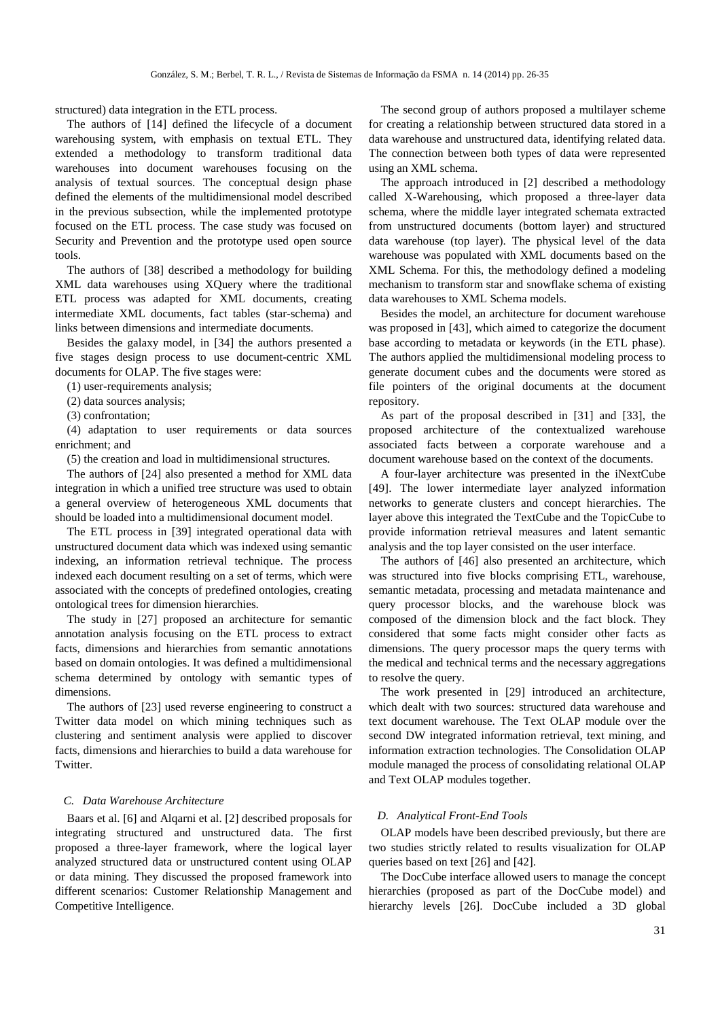structured) data integration in the ETL process.

The authors of [14] defined the lifecycle of a document warehousing system, with emphasis on textual ETL. They extended a methodology to transform traditional data warehouses into document warehouses focusing on the analysis of textual sources. The conceptual design phase defined the elements of the multidimensional model described in the previous subsection, while the implemented prototype focused on the ETL process. The case study was focused on Security and Prevention and the prototype used open source tools.

The authors of [38] described a methodology for building XML data warehouses using XQuery where the traditional ETL process was adapted for XML documents, creating intermediate XML documents, fact tables (star-schema) and links between dimensions and intermediate documents.

Besides the galaxy model, in [34] the authors presented a five stages design process to use document-centric XML documents for OLAP. The five stages were:

(1) user-requirements analysis;

(2) data sources analysis;

(3) confrontation;

(4) adaptation to user requirements or data sources enrichment; and

(5) the creation and load in multidimensional structures.

The authors of [24] also presented a method for XML data integration in which a unified tree structure was used to obtain a general overview of heterogeneous XML documents that should be loaded into a multidimensional document model.

The ETL process in [39] integrated operational data with unstructured document data which was indexed using semantic indexing, an information retrieval technique. The process indexed each document resulting on a set of terms, which were associated with the concepts of predefined ontologies, creating ontological trees for dimension hierarchies.

The study in [27] proposed an architecture for semantic annotation analysis focusing on the ETL process to extract facts, dimensions and hierarchies from semantic annotations based on domain ontologies. It was defined a multidimensional schema determined by ontology with semantic types of dimensions.

The authors of [23] used reverse engineering to construct a Twitter data model on which mining techniques such as clustering and sentiment analysis were applied to discover facts, dimensions and hierarchies to build a data warehouse for Twitter.

# *C. Data Warehouse Architecture*

Baars et al. [6] and Alqarni et al. [2] described proposals for integrating structured and unstructured data. The first proposed a three-layer framework, where the logical layer analyzed structured data or unstructured content using OLAP or data mining. They discussed the proposed framework into different scenarios: Customer Relationship Management and Competitive Intelligence.

The second group of authors proposed a multilayer scheme for creating a relationship between structured data stored in a data warehouse and unstructured data, identifying related data. The connection between both types of data were represented using an XML schema.

The approach introduced in [2] described a methodology called X-Warehousing, which proposed a three-layer data schema, where the middle layer integrated schemata extracted from unstructured documents (bottom layer) and structured data warehouse (top layer). The physical level of the data warehouse was populated with XML documents based on the XML Schema. For this, the methodology defined a modeling mechanism to transform star and snowflake schema of existing data warehouses to XML Schema models.

Besides the model, an architecture for document warehouse was proposed in [43], which aimed to categorize the document base according to metadata or keywords (in the ETL phase). The authors applied the multidimensional modeling process to generate document cubes and the documents were stored as file pointers of the original documents at the document repository.

As part of the proposal described in [31] and [33], the proposed architecture of the contextualized warehouse associated facts between a corporate warehouse and a document warehouse based on the context of the documents.

A four-layer architecture was presented in the iNextCube [49]. The lower intermediate layer analyzed information networks to generate clusters and concept hierarchies. The layer above this integrated the TextCube and the TopicCube to provide information retrieval measures and latent semantic analysis and the top layer consisted on the user interface.

The authors of [46] also presented an architecture, which was structured into five blocks comprising ETL, warehouse, semantic metadata, processing and metadata maintenance and query processor blocks, and the warehouse block was composed of the dimension block and the fact block. They considered that some facts might consider other facts as dimensions. The query processor maps the query terms with the medical and technical terms and the necessary aggregations to resolve the query.

The work presented in [29] introduced an architecture, which dealt with two sources: structured data warehouse and text document warehouse. The Text OLAP module over the second DW integrated information retrieval, text mining, and information extraction technologies. The Consolidation OLAP module managed the process of consolidating relational OLAP and Text OLAP modules together.

## *D. Analytical Front-End Tools*

OLAP models have been described previously, but there are two studies strictly related to results visualization for OLAP queries based on text [26] and [42].

The DocCube interface allowed users to manage the concept hierarchies (proposed as part of the DocCube model) and hierarchy levels [26]. DocCube included a 3D global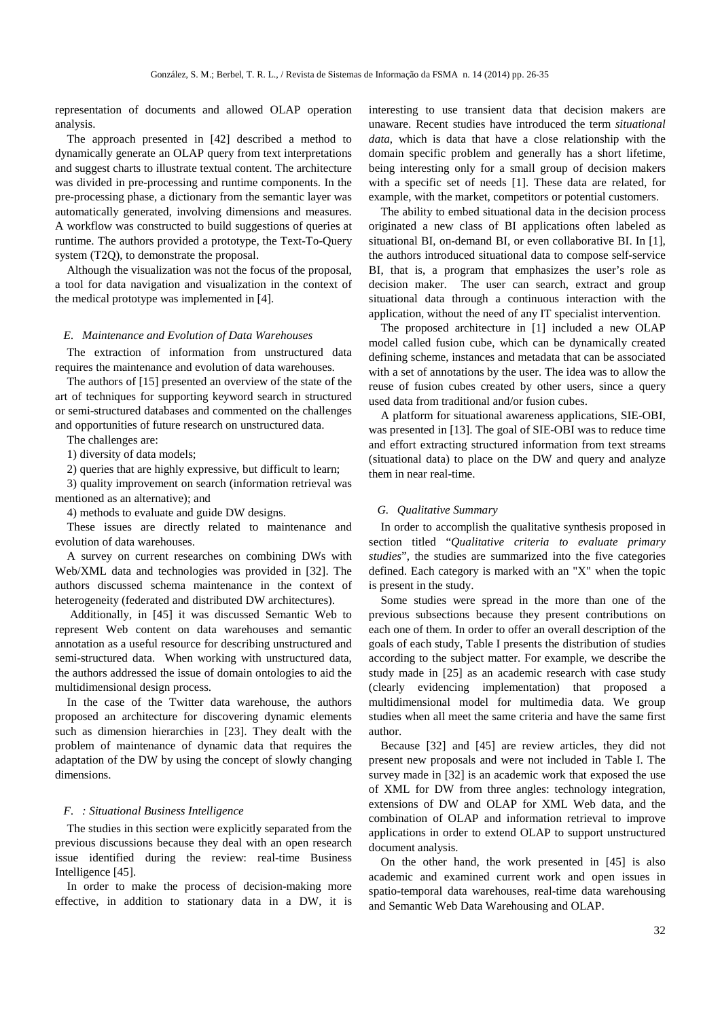representation of documents and allowed OLAP operation analysis.

The approach presented in [42] described a method to dynamically generate an OLAP query from text interpretations and suggest charts to illustrate textual content. The architecture was divided in pre-processing and runtime components. In the pre-processing phase, a dictionary from the semantic layer was automatically generated, involving dimensions and measures. A workflow was constructed to build suggestions of queries at runtime. The authors provided a prototype, the Text-To-Query system (T2Q), to demonstrate the proposal.

Although the visualization was not the focus of the proposal, a tool for data navigation and visualization in the context of the medical prototype was implemented in [4].

## *E. Maintenance and Evolution of Data Warehouses*

The extraction of information from unstructured data requires the maintenance and evolution of data warehouses.

The authors of [15] presented an overview of the state of the art of techniques for supporting keyword search in structured or semi-structured databases and commented on the challenges and opportunities of future research on unstructured data.

The challenges are:

1) diversity of data models;

2) queries that are highly expressive, but difficult to learn;

3) quality improvement on search (information retrieval was mentioned as an alternative); and

4) methods to evaluate and guide DW designs.

These issues are directly related to maintenance and evolution of data warehouses.

A survey on current researches on combining DWs with Web/XML data and technologies was provided in [32]. The authors discussed schema maintenance in the context of heterogeneity (federated and distributed DW architectures).

 Additionally, in [45] it was discussed Semantic Web to represent Web content on data warehouses and semantic annotation as a useful resource for describing unstructured and semi-structured data. When working with unstructured data, the authors addressed the issue of domain ontologies to aid the multidimensional design process.

In the case of the Twitter data warehouse, the authors proposed an architecture for discovering dynamic elements such as dimension hierarchies in [23]. They dealt with the problem of maintenance of dynamic data that requires the adaptation of the DW by using the concept of slowly changing dimensions.

#### *F. : Situational Business Intelligence*

The studies in this section were explicitly separated from the previous discussions because they deal with an open research issue identified during the review: real-time Business Intelligence [45].

In order to make the process of decision-making more effective, in addition to stationary data in a DW, it is interesting to use transient data that decision makers are unaware. Recent studies have introduced the term *situational data*, which is data that have a close relationship with the domain specific problem and generally has a short lifetime, being interesting only for a small group of decision makers with a specific set of needs [1]. These data are related, for example, with the market, competitors or potential customers.

The ability to embed situational data in the decision process originated a new class of BI applications often labeled as situational BI, on-demand BI, or even collaborative BI. In [1], the authors introduced situational data to compose self-service BI, that is, a program that emphasizes the user's role as decision maker. The user can search, extract and group situational data through a continuous interaction with the application, without the need of any IT specialist intervention.

The proposed architecture in [1] included a new OLAP model called fusion cube, which can be dynamically created defining scheme, instances and metadata that can be associated with a set of annotations by the user. The idea was to allow the reuse of fusion cubes created by other users, since a query used data from traditional and/or fusion cubes.

A platform for situational awareness applications, SIE-OBI, was presented in [13]. The goal of SIE-OBI was to reduce time and effort extracting structured information from text streams (situational data) to place on the DW and query and analyze them in near real-time.

## *G. Qualitative Summary*

In order to accomplish the qualitative synthesis proposed in section titled "*Qualitative criteria to evaluate primary studies*", the studies are summarized into the five categories defined. Each category is marked with an "X" when the topic is present in the study.

Some studies were spread in the more than one of the previous subsections because they present contributions on each one of them. In order to offer an overall description of the goals of each study, Table I presents the distribution of studies according to the subject matter. For example, we describe the study made in [25] as an academic research with case study (clearly evidencing implementation) that proposed a multidimensional model for multimedia data. We group studies when all meet the same criteria and have the same first author.

Because [32] and [45] are review articles, they did not present new proposals and were not included in Table I. The survey made in [32] is an academic work that exposed the use of XML for DW from three angles: technology integration, extensions of DW and OLAP for XML Web data, and the combination of OLAP and information retrieval to improve applications in order to extend OLAP to support unstructured document analysis.

On the other hand, the work presented in [45] is also academic and examined current work and open issues in spatio-temporal data warehouses, real-time data warehousing and Semantic Web Data Warehousing and OLAP.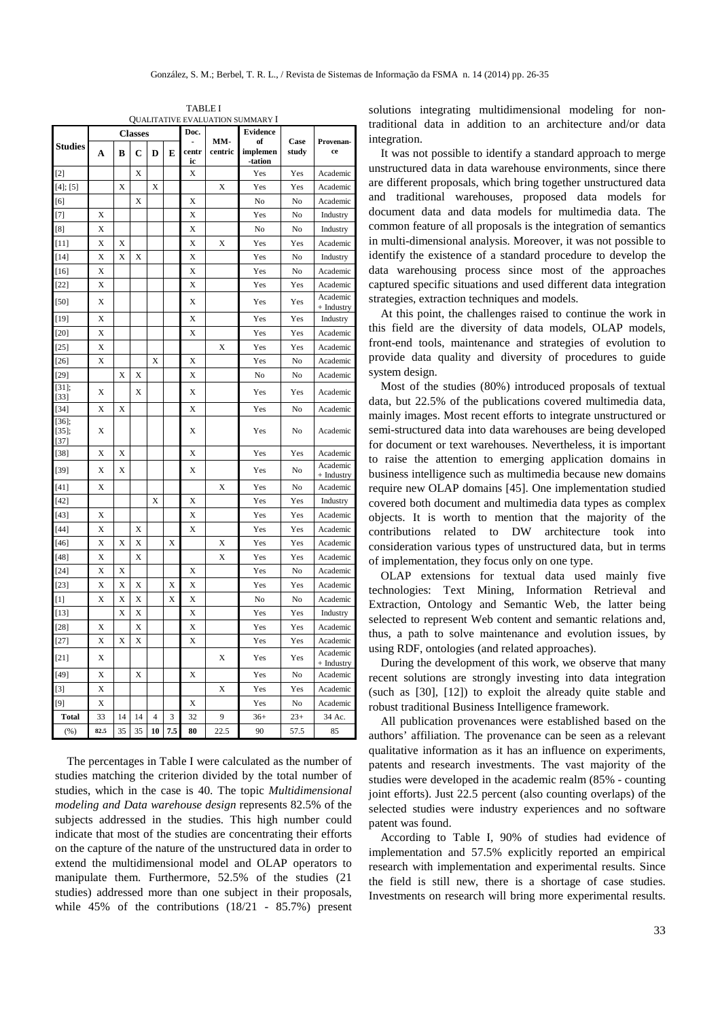TABLE I QUALITATIVE EVALUATION SUMMARY I

|                                | QUALITATIVE EVALUATION SUMMARY 1 |    |    |                |     |             |         |                       |             |                        |
|--------------------------------|----------------------------------|----|----|----------------|-----|-------------|---------|-----------------------|-------------|------------------------|
| <b>Studies</b>                 | <b>Classes</b>                   |    |    |                |     | Doc.        | MM-     | <b>Evidence</b><br>of | Case        | Provenan-              |
|                                | A                                | B  | C  | D              | E   | centr<br>ic | centric | implemen<br>-tation   | study<br>ce |                        |
| $[2]$                          |                                  |    | X  |                |     | X           |         | Yes                   | Yes         | Academic               |
| $[4]$ ; [5]                    |                                  | X  |    | X              |     |             | X       | Yes                   | Yes         | Academic               |
| [6]                            |                                  |    | X  |                |     | X           |         | No                    | No          | Academic               |
| $[7]$                          | X                                |    |    |                |     | X           |         | Yes                   | No          | Industry               |
| [8]                            | X                                |    |    |                |     | X           |         | No                    | No          | Industry               |
| $[11]$                         | X                                | X  |    |                |     | X           | X       | Yes                   | Yes         | Academic               |
| $[14]$                         | X                                | X  | X  |                |     | X           |         | Yes                   | No          | Industry               |
| $[16]$                         | X                                |    |    |                |     | X           |         | Yes                   | No          | Academic               |
| $[22]$                         | X                                |    |    |                |     | X           |         | Yes                   | Yes         | Academic               |
| $[50]$                         | X                                |    |    |                |     | X           |         | Yes                   | Yes         | Academic<br>+ Industry |
| [19]                           | X                                |    |    |                |     | X           |         | Yes                   | Yes         | Industry               |
| $[20]$                         | X                                |    |    |                |     | X           |         | Yes                   | Yes         | Academic               |
| $[25]$                         | X                                |    |    |                |     |             | X       | Yes                   | Yes         | Academic               |
| $[26]$                         | Χ                                |    |    | Χ              |     | X           |         | Yes                   | No          | Academic               |
| $[29]$                         |                                  | X  | X  |                |     | X           |         | No                    | No          | Academic               |
| $[31]$ ;<br>$[33]$             | X                                |    | X  |                |     | X           |         | Yes                   | Yes         | Academic               |
| $[34]$                         | X                                | X  |    |                |     | X           |         | Yes                   | No          | Academic               |
| $[36]$ ;<br>$[35]$ ;<br>$[37]$ | X                                |    |    |                |     | X           |         | Yes                   | No          | Academic               |
| $[38]$                         | X                                | X  |    |                |     | X           |         | Yes                   | Yes         | Academic               |
| $[39]$                         | X                                | X  |    |                |     | X           |         | Yes                   | No          | Academic<br>+ Industry |
| [41]                           | X                                |    |    |                |     |             | X       | Yes                   | No          | Academic               |
| $[42]$                         |                                  |    |    | X              |     | X           |         | Yes                   | Yes         | Industry               |
| $[43]$                         | X                                |    |    |                |     | X           |         | Yes                   | Yes         | Academic               |
| $[44]$                         | X                                |    | X  |                |     | X           |         | Yes                   | Yes         | Academic               |
| $[46]$                         | X                                | X  | X  |                | X   |             | X       | Yes                   | Yes         | Academic               |
| [48]                           | X                                |    | X  |                |     |             | X       | Yes                   | Yes         | Academic               |
| $[24]$                         | X                                | X  |    |                |     | X           |         | Yes                   | No          | Academic               |
| $[23]$                         | X                                | X  | X  |                | X   | X           |         | Yes                   | Yes         | Academic               |
| $[1]$                          | X                                | X  | X  |                | X   | X           |         | No                    | No          | Academic               |
| $[13]$                         |                                  | X  | X  |                |     | X           |         | Yes                   | Yes         | Industry               |
| $[28]$                         | X                                |    | X  |                |     | X           |         | Yes                   | Yes         | Academic               |
| $[27]$                         | X                                | X  | X  |                |     | X           |         | Yes                   | Yes         | Academic               |
| $[21]$                         | X                                |    |    |                |     |             | X       | Yes                   | Yes         | Academic<br>+ Industry |
| $[49]$                         | X                                |    | X  |                |     | X           |         | Yes                   | No          | Academic               |
| $[3]$                          | X                                |    |    |                |     |             | X       | Yes                   | Yes         | Academic               |
| $[9]$                          | Х                                |    |    |                |     | X           |         | Yes                   | No          | Academic               |
| <b>Total</b>                   | 33                               | 14 | 14 | $\overline{4}$ | 3   | 32          | 9       | $36+$                 | $23+$       | 34 Ac.                 |
| (%)                            | 82.5                             | 35 | 35 | 10             | 7.5 | 80          | 22.5    | 90                    | 57.5        | 85                     |

The percentages in Table I were calculated as the number of studies matching the criterion divided by the total number of studies, which in the case is 40. The topic *Multidimensional modeling and Data warehouse design* represents 82.5% of the subjects addressed in the studies. This high number could indicate that most of the studies are concentrating their efforts on the capture of the nature of the unstructured data in order to extend the multidimensional model and OLAP operators to manipulate them. Furthermore, 52.5% of the studies (21 studies) addressed more than one subject in their proposals, while 45% of the contributions (18/21 - 85.7%) present

solutions integrating multidimensional modeling for nontraditional data in addition to an architecture and/or data integration.

It was not possible to identify a standard approach to merge unstructured data in data warehouse environments, since there are different proposals, which bring together unstructured data and traditional warehouses, proposed data models for document data and data models for multimedia data. The common feature of all proposals is the integration of semantics in multi-dimensional analysis. Moreover, it was not possible to identify the existence of a standard procedure to develop the data warehousing process since most of the approaches captured specific situations and used different data integration strategies, extraction techniques and models.

At this point, the challenges raised to continue the work in this field are the diversity of data models, OLAP models, front-end tools, maintenance and strategies of evolution to provide data quality and diversity of procedures to guide system design.

Most of the studies (80%) introduced proposals of textual data, but 22.5% of the publications covered multimedia data, mainly images. Most recent efforts to integrate unstructured or semi-structured data into data warehouses are being developed for document or text warehouses. Nevertheless, it is important to raise the attention to emerging application domains in business intelligence such as multimedia because new domains require new OLAP domains [45]. One implementation studied covered both document and multimedia data types as complex objects. It is worth to mention that the majority of the contributions related to DW architecture took into consideration various types of unstructured data, but in terms of implementation, they focus only on one type.

OLAP extensions for textual data used mainly five technologies: Text Mining, Information Retrieval and Extraction, Ontology and Semantic Web, the latter being selected to represent Web content and semantic relations and, thus, a path to solve maintenance and evolution issues, by using RDF, ontologies (and related approaches).

During the development of this work, we observe that many recent solutions are strongly investing into data integration (such as [30], [12]) to exploit the already quite stable and robust traditional Business Intelligence framework.

All publication provenances were established based on the authors' affiliation. The provenance can be seen as a relevant qualitative information as it has an influence on experiments, patents and research investments. The vast majority of the studies were developed in the academic realm (85% - counting joint efforts). Just 22.5 percent (also counting overlaps) of the selected studies were industry experiences and no software patent was found.

According to Table I, 90% of studies had evidence of implementation and 57.5% explicitly reported an empirical research with implementation and experimental results. Since the field is still new, there is a shortage of case studies. Investments on research will bring more experimental results.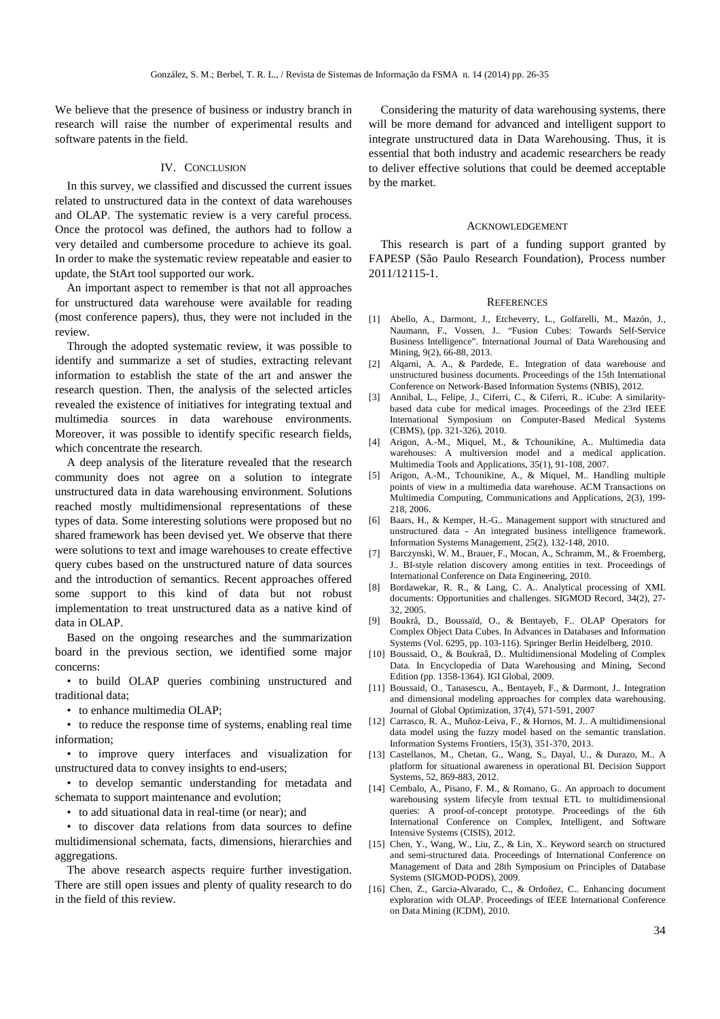We believe that the presence of business or industry branch in research will raise the number of experimental results and software patents in the field.

# IV. CONCLUSION

In this survey, we classified and discussed the current issues related to unstructured data in the context of data warehouses and OLAP. The systematic review is a very careful process. Once the protocol was defined, the authors had to follow a very detailed and cumbersome procedure to achieve its goal. In order to make the systematic review repeatable and easier to update, the StArt tool supported our work.

An important aspect to remember is that not all approaches for unstructured data warehouse were available for reading (most conference papers), thus, they were not included in the review.

Through the adopted systematic review, it was possible to identify and summarize a set of studies, extracting relevant information to establish the state of the art and answer the research question. Then, the analysis of the selected articles revealed the existence of initiatives for integrating textual and multimedia sources in data warehouse environments. Moreover, it was possible to identify specific research fields, which concentrate the research.

A deep analysis of the literature revealed that the research community does not agree on a solution to integrate unstructured data in data warehousing environment. Solutions reached mostly multidimensional representations of these types of data. Some interesting solutions were proposed but no shared framework has been devised yet. We observe that there were solutions to text and image warehouses to create effective query cubes based on the unstructured nature of data sources and the introduction of semantics. Recent approaches offered some support to this kind of data but not robust implementation to treat unstructured data as a native kind of data in OLAP.

Based on the ongoing researches and the summarization board in the previous section, we identified some major concerns:

• to build OLAP queries combining unstructured and traditional data;

• to enhance multimedia OLAP:

• to reduce the response time of systems, enabling real time information;

• to improve query interfaces and visualization for unstructured data to convey insights to end-users;

• to develop semantic understanding for metadata and schemata to support maintenance and evolution;

• to add situational data in real-time (or near); and

• to discover data relations from data sources to define multidimensional schemata, facts, dimensions, hierarchies and aggregations.

The above research aspects require further investigation. There are still open issues and plenty of quality research to do in the field of this review.

Considering the maturity of data warehousing systems, there will be more demand for advanced and intelligent support to integrate unstructured data in Data Warehousing. Thus, it is essential that both industry and academic researchers be ready to deliver effective solutions that could be deemed acceptable by the market.

#### ACKNOWLEDGEMENT

This research is part of a funding support granted by FAPESP (São Paulo Research Foundation), Process number 2011/12115-1.

#### **REFERENCES**

- [1] Abello, A., Darmont, J., Etcheverry, L., Golfarelli, M., Mazón, J., Naumann, F., Vossen, J.. "Fusion Cubes: Towards Self-Service Business Intelligence". International Journal of Data Warehousing and Mining, 9(2), 66-88, 2013.
- [2] Alqarni, A. A., & Pardede, E.. Integration of data warehouse and unstructured business documents. Proceedings of the 15th International Conference on Network-Based Information Systems (NBIS), 2012.
- [3] Annibal, L., Felipe, J., Ciferri, C., & Ciferri, R.. iCube: A similaritybased data cube for medical images. Proceedings of the 23rd IEEE International Symposium on Computer-Based Medical Systems (CBMS), (pp. 321-326), 2010.
- [4] Arigon, A.-M., Miquel, M., & Tchounikine, A.. Multimedia data warehouses: A multiversion model and a medical application. Multimedia Tools and Applications, 35(1), 91-108, 2007.
- [5] Arigon, A.-M., Tchounikine, A., & Miquel, M.. Handling multiple points of view in a multimedia data warehouse. ACM Transactions on Multimedia Computing, Communications and Applications, 2(3), 199- 218, 2006.
- [6] Baars, H., & Kemper, H.-G.. Management support with structured and unstructured data - An integrated business intelligence framework. Information Systems Management, 25(2), 132-148, 2010.
- [7] Barczynski, W. M., Brauer, F., Mocan, A., Schramm, M., & Froemberg, J.. BI-style relation discovery among entities in text. Proceedings of International Conference on Data Engineering, 2010.
- [8] Bordawekar, R. R., & Lang, C. A.. Analytical processing of XML documents: Opportunities and challenges. SIGMOD Record, 34(2), 27- 32, 2005.
- [9] Boukrâ, D., Boussaïd, O., & Bentayeb, F.. OLAP Operators for Complex Object Data Cubes. In Advances in Databases and Information Systems (Vol. 6295, pp. 103-116). Springer Berlin Heidelberg, 2010.
- [10] Boussaid, O., & Boukraâ, D.. Multidimensional Modeling of Complex Data. In Encyclopedia of Data Warehousing and Mining, Second Edition (pp. 1358-1364). IGI Global, 2009.
- [11] Boussaid, O., Tanasescu, A., Bentayeb, F., & Darmont, J.. Integration and dimensional modeling approaches for complex data warehousing. Journal of Global Optimization, 37(4), 571-591, 2007
- [12] Carrasco, R. A., Muñoz-Leiva, F., & Hornos, M. J.. A multidimensional data model using the fuzzy model based on the semantic translation. Information Systems Frontiers, 15(3), 351-370, 2013.
- [13] Castellanos, M., Chetan, G., Wang, S., Dayal, U., & Durazo, M.. A platform for situational awareness in operational BI. Decision Support Systems, 52, 869-883, 2012.
- [14] Cembalo, A., Pisano, F. M., & Romano, G.. An approach to document warehousing system lifecyle from textual ETL to multidimensional queries: A proof-of-concept prototype. Proceedings of the 6th International Conference on Complex, Intelligent, and Software Intensive Systems (CISIS), 2012.
- [15] Chen, Y., Wang, W., Liu, Z., & Lin, X.. Keyword search on structured and semi-structured data. Proceedings of International Conference on Management of Data and 28th Symposium on Principles of Database Systems (SIGMOD-PODS), 2009.
- [16] Chen, Z., Garcia-Alvarado, C., & Ordoñez, C.. Enhancing document exploration with OLAP. Proceedings of IEEE International Conference on Data Mining (ICDM), 2010.